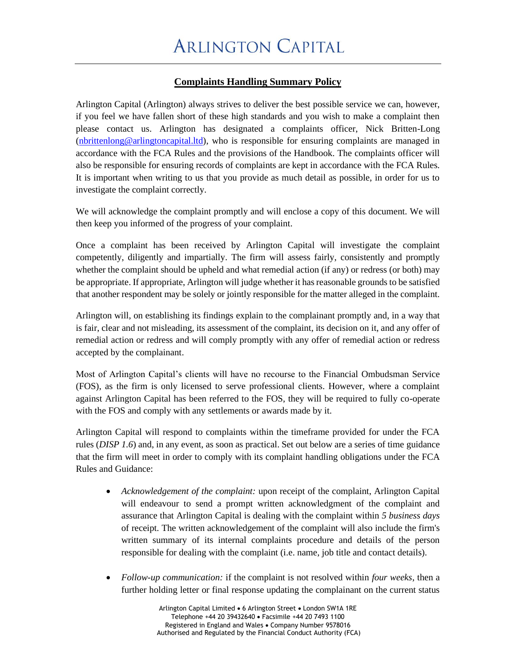## **Complaints Handling Summary Policy**

Arlington Capital (Arlington) always strives to deliver the best possible service we can, however, if you feel we have fallen short of these high standards and you wish to make a complaint then please contact us. Arlington has designated a complaints officer, Nick Britten-Long [\(nbrittenlong@arlingtoncapital.ltd\)](mailto:nbrittenlong@arlingtoncapital.ltd), who is responsible for ensuring complaints are managed in accordance with the FCA Rules and the provisions of the Handbook. The complaints officer will also be responsible for ensuring records of complaints are kept in accordance with the FCA Rules. It is important when writing to us that you provide as much detail as possible, in order for us to investigate the complaint correctly.

We will acknowledge the complaint promptly and will enclose a copy of this document. We will then keep you informed of the progress of your complaint.

Once a complaint has been received by Arlington Capital will investigate the complaint competently, diligently and impartially. The firm will assess fairly, consistently and promptly whether the complaint should be upheld and what remedial action (if any) or redress (or both) may be appropriate. If appropriate, Arlington will judge whether it has reasonable grounds to be satisfied that another respondent may be solely or jointly responsible for the matter alleged in the complaint.

Arlington will, on establishing its findings explain to the complainant promptly and, in a way that is fair, clear and not misleading, its assessment of the complaint, its decision on it, and any offer of remedial action or redress and will comply promptly with any offer of remedial action or redress accepted by the complainant.

Most of Arlington Capital's clients will have no recourse to the Financial Ombudsman Service (FOS), as the firm is only licensed to serve professional clients. However, where a complaint against Arlington Capital has been referred to the FOS, they will be required to fully co-operate with the FOS and comply with any settlements or awards made by it.

Arlington Capital will respond to complaints within the timeframe provided for under the FCA rules (*DISP 1.6*) and, in any event, as soon as practical. Set out below are a series of time guidance that the firm will meet in order to comply with its complaint handling obligations under the FCA Rules and Guidance:

- *Acknowledgement of the complaint:* upon receipt of the complaint, Arlington Capital will endeavour to send a prompt written acknowledgment of the complaint and assurance that Arlington Capital is dealing with the complaint within *5 business days* of receipt. The written acknowledgement of the complaint will also include the firm's written summary of its internal complaints procedure and details of the person responsible for dealing with the complaint (i.e. name, job title and contact details).
- *Follow-up communication:* if the complaint is not resolved within *four weeks*, then a further holding letter or final response updating the complainant on the current status